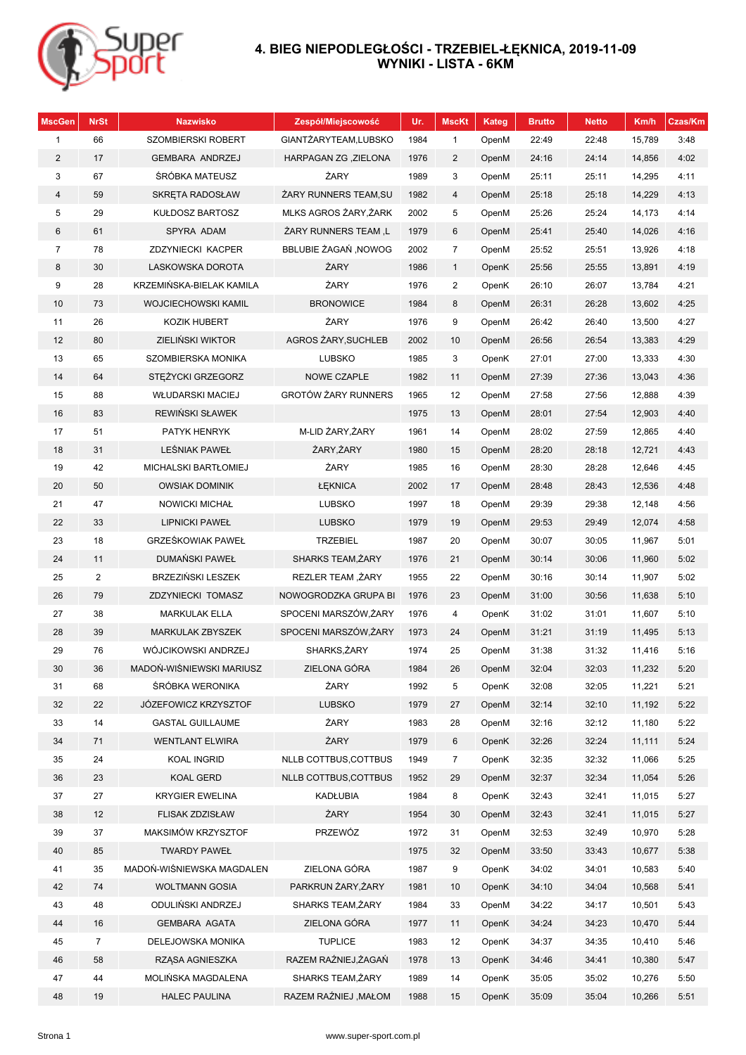

## **4. BIEG NIEPODLEGŁOŚCI - TRZEBIEL-ŁĘKNICA, 2019-11-09 WYNIKI - LISTA - 6KM**

| <b>MscGen</b>  | <b>NrSt</b>    | <b>Nazwisko</b>           | Zespół/Miejscowość         | Ur.  | <b>MscKt</b>   | Kateg | <b>Brutto</b> | <b>Netto</b> | Km/h   | Czas/Km |
|----------------|----------------|---------------------------|----------------------------|------|----------------|-------|---------------|--------------|--------|---------|
| 1              | 66             | <b>SZOMBIERSKI ROBERT</b> | GIANTŻARYTEAM,LUBSKO       | 1984 | $\mathbf{1}$   | OpenM | 22:49         | 22:48        | 15,789 | 3:48    |
| $\overline{2}$ | 17             | <b>GEMBARA ANDRZEJ</b>    | HARPAGAN ZG, ZIELONA       | 1976 | $\overline{c}$ | OpenM | 24:16         | 24:14        | 14,856 | 4:02    |
| 3              | 67             | ŚRÓBKA MATEUSZ            | ŻARY                       | 1989 | 3              | OpenM | 25:11         | 25:11        | 14,295 | 4:11    |
| 4              | 59             | SKRETA RADOSŁAW           | ŻARY RUNNERS TEAM, SU      | 1982 | 4              | OpenM | 25:18         | 25:18        | 14,229 | 4:13    |
| 5              | 29             | KUŁDOSZ BARTOSZ           | MLKS AGROS ŻARY,ŻARK       | 2002 | 5              | OpenM | 25:26         | 25:24        | 14,173 | 4:14    |
| 6              | 61             | SPYRA ADAM                | ŻARY RUNNERS TEAM ,L       | 1979 | 6              | OpenM | 25:41         | 25:40        | 14,026 | 4:16    |
| $\overline{7}$ | 78             | <b>ZDZYNIECKI KACPER</b>  | BBLUBIE ŻAGAŃ, NOWOG       | 2002 | 7              | OpenM | 25:52         | 25:51        | 13,926 | 4:18    |
| 8              | 30             | LASKOWSKA DOROTA          | ŻARY                       | 1986 | $\mathbf{1}$   | OpenK | 25:56         | 25:55        | 13,891 | 4:19    |
| 9              | 28             | KRZEMIŃSKA-BIELAK KAMILA  | ŻARY                       | 1976 | 2              | OpenK | 26:10         | 26:07        | 13,784 | 4:21    |
| 10             | 73             | WOJCIECHOWSKI KAMIL       | <b>BRONOWICE</b>           | 1984 | 8              | OpenM | 26:31         | 26:28        | 13,602 | 4:25    |
| 11             | 26             | <b>KOZIK HUBERT</b>       | ŻARY                       | 1976 | 9              | OpenM | 26:42         | 26:40        | 13,500 | 4:27    |
| 12             | 80             | ZIELIŃSKI WIKTOR          | AGROS ZARY, SUCHLEB        | 2002 | 10             | OpenM | 26:56         | 26:54        | 13,383 | 4:29    |
| 13             | 65             | SZOMBIERSKA MONIKA        | <b>LUBSKO</b>              | 1985 | 3              | OpenK | 27:01         | 27:00        | 13,333 | 4:30    |
| 14             | 64             | STEŻYCKI GRZEGORZ         | NOWE CZAPLE                | 1982 | 11             | OpenM | 27:39         | 27:36        | 13,043 | 4:36    |
| 15             | 88             | WŁUDARSKI MACIEJ          | <b>GROTÓW ŻARY RUNNERS</b> | 1965 | 12             | OpenM | 27:58         | 27:56        | 12,888 | 4:39    |
| 16             | 83             | REWIŃSKI SŁAWEK           |                            | 1975 | 13             | OpenM | 28:01         | 27:54        | 12,903 | 4:40    |
| 17             | 51             | PATYK HENRYK              | M-LID ŻARY, ŻARY           | 1961 | 14             | OpenM | 28:02         | 27:59        | 12,865 | 4:40    |
| 18             | 31             | LEŚNIAK PAWEŁ             | ŻARY, ŻARY                 | 1980 | 15             | OpenM | 28:20         | 28:18        | 12,721 | 4:43    |
| 19             | 42             | MICHALSKI BARTŁOMIEJ      | ŻARY                       | 1985 | 16             | OpenM | 28:30         | 28:28        | 12,646 | 4:45    |
| 20             | 50             | <b>OWSIAK DOMINIK</b>     | ŁĘKNICA                    | 2002 | 17             | OpenM | 28:48         | 28:43        | 12,536 | 4:48    |
| 21             | 47             | <b>NOWICKI MICHAŁ</b>     | <b>LUBSKO</b>              | 1997 | 18             | OpenM | 29:39         | 29:38        | 12,148 | 4:56    |
| 22             | 33             | <b>LIPNICKI PAWEŁ</b>     | <b>LUBSKO</b>              | 1979 | 19             | OpenM | 29:53         | 29:49        | 12,074 | 4:58    |
| 23             | 18             | <b>GRZEŚKOWIAK PAWEŁ</b>  | <b>TRZEBIEL</b>            | 1987 | 20             | OpenM | 30:07         | 30:05        | 11,967 | 5:01    |
| 24             | 11             | DUMAŃSKI PAWEŁ            | SHARKS TEAM, ZARY          | 1976 | 21             | OpenM | 30:14         | 30:06        | 11,960 | 5:02    |
| 25             | $\overline{2}$ | BRZEZIŃSKI LESZEK         | REZLER TEAM, ZARY          | 1955 | 22             | OpenM | 30:16         | 30:14        | 11,907 | 5:02    |
| 26             | 79             | ZDZYNIECKI TOMASZ         | NOWOGRODZKA GRUPA BI       | 1976 | 23             | OpenM | 31:00         | 30:56        | 11,638 | 5:10    |
| 27             | 38             | <b>MARKULAK ELLA</b>      | SPOCENI MARSZÓW, ŻARY      | 1976 | 4              | OpenK | 31:02         | 31:01        | 11,607 | 5:10    |
| 28             | 39             | MARKULAK ZBYSZEK          | SPOCENI MARSZÓW, ŻARY      | 1973 | 24             | OpenM | 31:21         | 31:19        | 11,495 | 5:13    |
| 29             | 76             | WÓJCIKOWSKI ANDRZEJ       | SHARKS, ZARY               | 1974 | 25             | OpenM | 31:38         | 31:32        | 11,416 | 5:16    |
| 30             | 36             | MADON-WISNIEWSKI MARIUSZ  | ZIELONA GÓRA               | 1984 | 26             | OpenM | 32:04         | 32:03        | 11,232 | 5:20    |
| 31             | 68             | ŚRÓBKA WERONIKA           | ŻARY                       | 1992 | 5              | OpenK | 32:08         | 32:05        | 11,221 | 5:21    |
| 32             | 22             | JÓZEFOWICZ KRZYSZTOF      | <b>LUBSKO</b>              | 1979 | 27             | OpenM | 32:14         | 32:10        | 11,192 | 5:22    |
| 33             | 14             | <b>GASTAL GUILLAUME</b>   | ŻARY                       | 1983 | 28             | OpenM | 32:16         | 32:12        | 11,180 | 5:22    |
| 34             | 71             | <b>WENTLANT ELWIRA</b>    | ŻARY                       | 1979 | 6              | OpenK | 32:26         | 32:24        | 11,111 | 5:24    |
| 35             | 24             | KOAL INGRID               | NLLB COTTBUS, COTTBUS      | 1949 | 7              | OpenK | 32:35         | 32:32        | 11,066 | 5:25    |
| 36             | 23             | <b>KOAL GERD</b>          | NLLB COTTBUS, COTTBUS      | 1952 | 29             | OpenM | 32:37         | 32:34        | 11,054 | 5:26    |
| 37             | 27             | <b>KRYGIER EWELINA</b>    | <b>KADŁUBIA</b>            | 1984 | 8              | OpenK | 32:43         | 32:41        | 11,015 | 5:27    |
| 38             | 12             | FLISAK ZDZISŁAW           | ŻARY                       | 1954 | 30             | OpenM | 32:43         | 32:41        | 11,015 | 5:27    |
| 39             | 37             | MAKSIMÓW KRZYSZTOF        | PRZEWÓZ                    | 1972 | 31             | OpenM | 32:53         | 32:49        | 10,970 | 5:28    |
| 40             | 85             | <b>TWARDY PAWEŁ</b>       |                            | 1975 | 32             | OpenM | 33:50         | 33:43        | 10,677 | 5:38    |
| 41             | 35             | MADOŃ-WIŚNIEWSKA MAGDALEN | ZIELONA GÓRA               | 1987 | 9              | OpenK | 34:02         | 34:01        | 10,583 | 5:40    |
| 42             | 74             | <b>WOLTMANN GOSIA</b>     | PARKRUN ZARY, ZARY         | 1981 | 10             | OpenK | 34:10         | 34:04        | 10,568 | 5:41    |
| 43             | 48             | ODULIŃSKI ANDRZEJ         | SHARKS TEAM, ZARY          | 1984 | 33             | OpenM | 34:22         | 34:17        | 10,501 | 5:43    |
| 44             | 16             | <b>GEMBARA AGATA</b>      | ZIELONA GÓRA               | 1977 | 11             | OpenK | 34:24         | 34:23        | 10,470 | 5:44    |
| 45             | $\overline{7}$ | DELEJOWSKA MONIKA         | <b>TUPLICE</b>             | 1983 | 12             | OpenK | 34:37         | 34:35        | 10,410 | 5:46    |
| 46             | 58             | RZĄSA AGNIESZKA           | RAZEM RAŹNIEJ, ŻAGAŃ       | 1978 | 13             | OpenK | 34:46         | 34:41        | 10,380 | 5:47    |
| 47             | 44             | MOLIŃSKA MAGDALENA        | SHARKS TEAM, ZARY          | 1989 | 14             | OpenK | 35:05         | 35:02        | 10,276 | 5:50    |
| 48             | 19             | <b>HALEC PAULINA</b>      | RAZEM RAŹNIEJ, MAŁOM       | 1988 | 15             | OpenK | 35:09         | 35:04        | 10,266 | 5:51    |